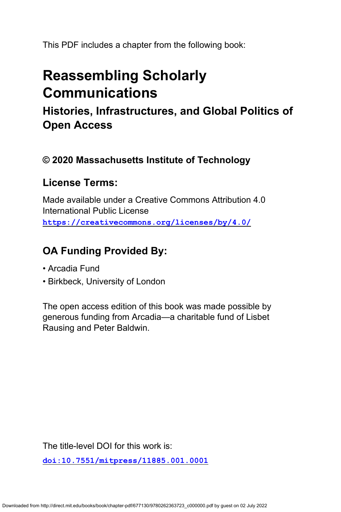This PDF includes a chapter from the following book:

# **Reassembling Scholarly Communications**

**Histories, Infrastructures, and Global Politics of Open Access**

### **© 2020 Massachusetts Institute of Technology**

### **License Terms:**

Made available under a Creative Commons Attribution 4.0 International Public License **<https://creativecommons.org/licenses/by/4.0/>**

## **OA Funding Provided By:**

- Arcadia Fund
- Birkbeck, University of London

The open access edition of this book was made possible by generous funding from Arcadia—a charitable fund of Lisbet Rausing and Peter Baldwin.

The title-level DOI for this work is:

**[doi:10.7551/mitpress/11885.001.0001](https://doi.org/10.7551/mitpress/11885.001.0001)**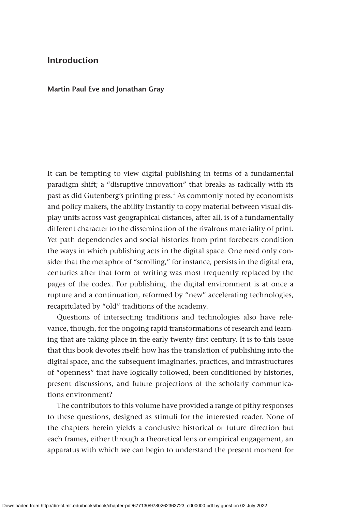#### **Martin Paul Eve and Jonathan Gray**

It can be tempting to view digital publishing in terms of a fundamental paradigm shift; a "disruptive innovation" that breaks as radically with its past as did Gutenberg's printing press.<sup>1</sup> As commonly noted by economists and policy makers, the ability instantly to copy material between visual display units across vast geographical distances, after all, is of a fundamentally different character to the dissemination of the rivalrous materiality of print. Yet path dependencies and social histories from print forebears condition the ways in which publishing acts in the digital space. One need only consider that the metaphor of "scrolling," for instance, persists in the digital era, centuries after that form of writing was most frequently replaced by the pages of the codex. For publishing, the digital environment is at once a rupture and a continuation, reformed by "new" accelerating technologies, recapitulated by "old" traditions of the academy.

Questions of intersecting traditions and technologies also have relevance, though, for the ongoing rapid transformations of research and learning that are taking place in the early twenty-first century. It is to this issue that this book devotes itself: how has the translation of publishing into the digital space, and the subsequent imaginaries, practices, and infrastructures of "openness" that have logically followed, been conditioned by histories, present discussions, and future projections of the scholarly communications environment?

The contributors to this volume have provided a range of pithy responses to these questions, designed as stimuli for the interested reader. None of the chapters herein yields a conclusive historical or future direction but each frames, either through a theoretical lens or empirical engagement, an apparatus with which we can begin to understand the present moment for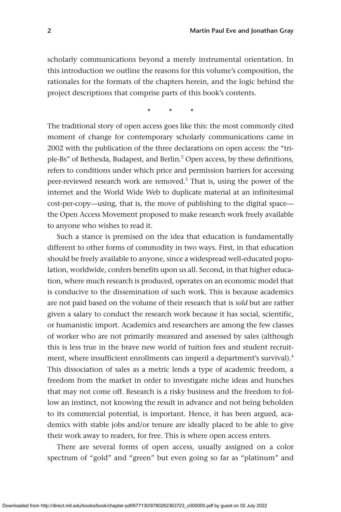scholarly communications beyond a merely instrumental orientation. In this introduction we outline the reasons for this volume's composition, the rationales for the formats of the chapters herein, and the logic behind the project descriptions that comprise parts of this book's contents.

\*\*\*

The traditional story of open access goes like this: the most commonly cited moment of change for contemporary scholarly communications came in 2002 with the publication of the three declarations on open access: the "triple-Bs" of Bethesda, Budapest, and Berlin.<sup>2</sup> Open access, by these definitions, refers to conditions under which price and permission barriers for accessing peer-reviewed research work are removed.<sup>3</sup> That is, using the power of the internet and the World Wide Web to duplicate material at an infinitesimal cost-per-copy—using, that is, the move of publishing to the digital space the Open Access Movement proposed to make research work freely available to anyone who wishes to read it.

Such a stance is premised on the idea that education is fundamentally different to other forms of commodity in two ways. First, in that education should be freely available to anyone, since a widespread well-educated population, worldwide, confers benefits upon us all. Second, in that higher education, where much research is produced, operates on an economic model that is conducive to the dissemination of such work. This is because academics are not paid based on the volume of their research that is *sold* but are rather given a salary to conduct the research work because it has social, scientific, or humanistic import. Academics and researchers are among the few classes of worker who are not primarily measured and assessed by sales (although this is less true in the brave new world of tuition fees and student recruitment, where insufficient enrollments can imperil a department's survival).<sup>4</sup> This dissociation of sales as a metric lends a type of academic freedom, a freedom from the market in order to investigate niche ideas and hunches that may not come off. Research is a risky business and the freedom to follow an instinct, not knowing the result in advance and not being beholden to its commercial potential, is important. Hence, it has been argued, academics with stable jobs and/or tenure are ideally placed to be able to give their work away to readers, for free. This is where open access enters.

There are several forms of open access, usually assigned on a color spectrum of "gold" and "green" but even going so far as "platinum" and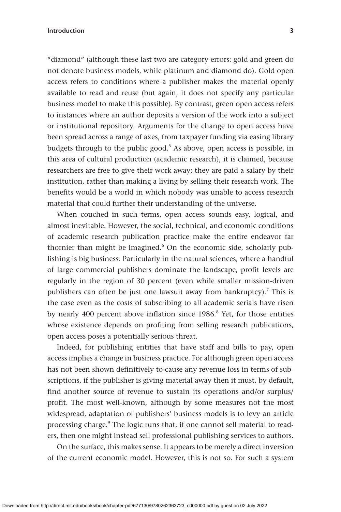"diamond" (although these last two are category errors: gold and green do not denote business models, while platinum and diamond do). Gold open access refers to conditions where a publisher makes the material openly available to read and reuse (but again, it does not specify any particular business model to make this possible). By contrast, green open access refers to instances where an author deposits a version of the work into a subject or institutional repository. Arguments for the change to open access have been spread across a range of axes, from taxpayer funding via easing library budgets through to the public good.<sup>5</sup> As above, open access is possible, in this area of cultural production (academic research), it is claimed, because researchers are free to give their work away; they are paid a salary by their institution, rather than making a living by selling their research work. The benefits would be a world in which nobody was unable to access research material that could further their understanding of the universe.

When couched in such terms, open access sounds easy, logical, and almost inevitable. However, the social, technical, and economic conditions of academic research publication practice make the entire endeavor far thornier than might be imagined.<sup>6</sup> On the economic side, scholarly publishing is big business. Particularly in the natural sciences, where a handful of large commercial publishers dominate the landscape, profit levels are regularly in the region of 30 percent (even while smaller mission-driven publishers can often be just one lawsuit away from bankruptcy).<sup>7</sup> This is the case even as the costs of subscribing to all academic serials have risen by nearly 400 percent above inflation since 1986.<sup>8</sup> Yet, for those entities whose existence depends on profiting from selling research publications, open access poses a potentially serious threat.

Indeed, for publishing entities that have staff and bills to pay, open access implies a change in business practice. For although green open access has not been shown definitively to cause any revenue loss in terms of subscriptions, if the publisher is giving material away then it must, by default, find another source of revenue to sustain its operations and/or surplus/ profit. The most well-known, although by some measures not the most widespread, adaptation of publishers' business models is to levy an article processing charge.<sup>9</sup> The logic runs that, if one cannot sell material to readers, then one might instead sell professional publishing services to authors.

On the surface, this makes sense. It appears to be merely a direct inversion of the current economic model. However, this is not so. For such a system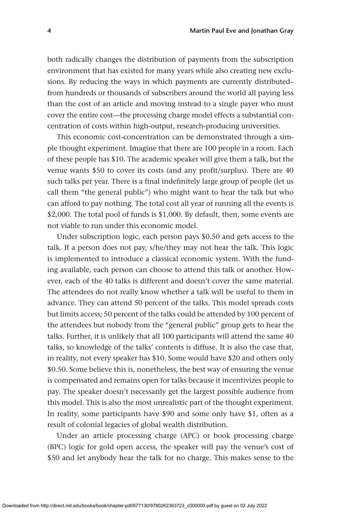both radically changes the distribution of payments from the subscription environment that has existed for many years while also creating new exclusions. By reducing the ways in which payments are currently distributed– from hundreds or thousands of subscribers around the world all paying less than the cost of an article and moving instead to a single payer who must cover the entire cost—the processing charge model effects a substantial concentration of costs within high-output, research-producing universities.

This economic cost-concentration can be demonstrated through a simple thought experiment. Imagine that there are 100 people in a room. Each of these people has \$10. The academic speaker will give them a talk, but the venue wants \$50 to cover its costs (and any profit/surplus). There are 40 such talks per year. There is a final indefinitely large group of people (let us call them "the general public") who might want to hear the talk but who can afford to pay nothing. The total cost all year of running all the events is \$2,000. The total pool of funds is \$1,000. By default, then, some events are not viable to run under this economic model.

Under subscription logic, each person pays \$0.50 and gets access to the talk. If a person does not pay, s/he/they may not hear the talk. This logic is implemented to introduce a classical economic system. With the funding available, each person can choose to attend this talk or another. However, each of the 40 talks is different and doesn't cover the same material. The attendees do not really know whether a talk will be useful to them in advance. They can attend 50 percent of the talks. This model spreads costs but limits access; 50 percent of the talks could be attended by 100 percent of the attendees but nobody from the "general public" group gets to hear the talks. Further, it is unlikely that all 100 participants will attend the same 40 talks, so knowledge of the talks' contents is diffuse. It is also the case that, in reality, not every speaker has \$10. Some would have \$20 and others only \$0.50. Some believe this is, nonetheless, the best way of ensuring the venue is compensated and remains open for talks because it incentivizes people to pay. The speaker doesn't necessarily get the largest possible audience from this model. This is also the most unrealistic part of the thought experiment. In reality, some participants have \$90 and some only have \$1, often as a result of colonial legacies of global wealth distribution.

Under an article processing charge (APC) or book processing charge (BPC) logic for gold open access, the speaker will pay the venue's cost of \$50 and let anybody hear the talk for no charge. This makes sense to the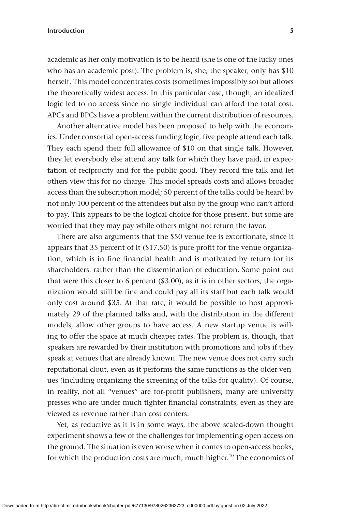academic as her only motivation is to be heard (she is one of the lucky ones who has an academic post). The problem is, she, the speaker, only has \$10 herself. This model concentrates costs (sometimes impossibly so) but allows the theoretically widest access. In this particular case, though, an idealized logic led to no access since no single individual can afford the total cost. APCs and BPCs have a problem within the current distribution of resources.

Another alternative model has been proposed to help with the economics. Under consortial open-access funding logic, five people attend each talk. They each spend their full allowance of \$10 on that single talk. However, they let everybody else attend any talk for which they have paid, in expectation of reciprocity and for the public good. They record the talk and let others view this for no charge. This model spreads costs and allows broader access than the subscription model; 50 percent of the talks could be heard by not only 100 percent of the attendees but also by the group who can't afford to pay. This appears to be the logical choice for those present, but some are worried that they may pay while others might not return the favor.

There are also arguments that the \$50 venue fee is extortionate, since it appears that 35 percent of it (\$17.50) is pure profit for the venue organization, which is in fine financial health and is motivated by return for its shareholders, rather than the dissemination of education. Some point out that were this closer to 6 percent (\$3.00), as it is in other sectors, the organization would still be fine and could pay all its staff but each talk would only cost around \$35. At that rate, it would be possible to host approximately 29 of the planned talks and, with the distribution in the different models, allow other groups to have access. A new startup venue is willing to offer the space at much cheaper rates. The problem is, though, that speakers are rewarded by their institution with promotions and jobs if they speak at venues that are already known. The new venue does not carry such reputational clout, even as it performs the same functions as the older venues (including organizing the screening of the talks for quality). Of course, in reality, not all "venues" are for-profit publishers; many are university presses who are under much tighter financial constraints, even as they are viewed as revenue rather than cost centers.

Yet, as reductive as it is in some ways, the above scaled-down thought experiment shows a few of the challenges for implementing open access on the ground. The situation is even worse when it comes to open-access books, for which the production costs are much, much higher.<sup>10</sup> The economics of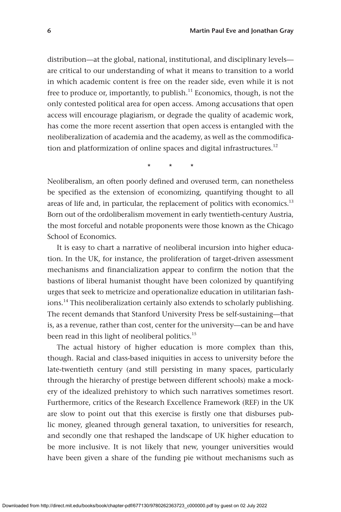distribution—at the global, national, institutional, and disciplinary levels are critical to our understanding of what it means to transition to a world in which academic content is free on the reader side, even while it is not free to produce or, importantly, to publish. $11$  Economics, though, is not the only contested political area for open access. Among accusations that open access will encourage plagiarism, or degrade the quality of academic work, has come the more recent assertion that open access is entangled with the neoliberalization of academia and the academy, as well as the commodification and platformization of online spaces and digital infrastructures.<sup>12</sup>

\*\*\*

Neoliberalism, an often poorly defined and overused term, can nonetheless be specified as the extension of economizing, quantifying thought to all areas of life and, in particular, the replacement of politics with economics. $^{13}$ Born out of the ordoliberalism movement in early twentieth-century Austria, the most forceful and notable proponents were those known as the Chicago School of Economics.

It is easy to chart a narrative of neoliberal incursion into higher education. In the UK, for instance, the proliferation of target-driven assessment mechanisms and financialization appear to confirm the notion that the bastions of liberal humanist thought have been colonized by quantifying urges that seek to metricize and operationalize education in utilitarian fashions.14 This neoliberalization certainly also extends to scholarly publishing. The recent demands that Stanford University Press be self-sustaining—that is, as a revenue, rather than cost, center for the university—can be and have been read in this light of neoliberal politics.<sup>15</sup>

The actual history of higher education is more complex than this, though. Racial and class-based iniquities in access to university before the late-twentieth century (and still persisting in many spaces, particularly through the hierarchy of prestige between different schools) make a mockery of the idealized prehistory to which such narratives sometimes resort. Furthermore, critics of the Research Excellence Framework (REF) in the UK are slow to point out that this exercise is firstly one that disburses public money, gleaned through general taxation, to universities for research, and secondly one that reshaped the landscape of UK higher education to be more inclusive. It is not likely that new, younger universities would have been given a share of the funding pie without mechanisms such as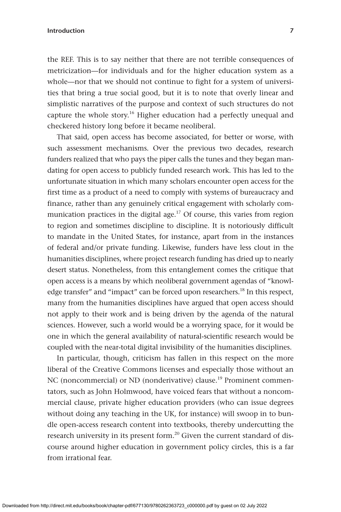the REF. This is to say neither that there are not terrible consequences of metricization—for individuals and for the higher education system as a whole—nor that we should not continue to fight for a system of universities that bring a true social good, but it is to note that overly linear and simplistic narratives of the purpose and context of such structures do not capture the whole story.<sup>16</sup> Higher education had a perfectly unequal and checkered history long before it became neoliberal.

That said, open access has become associated, for better or worse, with such assessment mechanisms. Over the previous two decades, research funders realized that who pays the piper calls the tunes and they began mandating for open access to publicly funded research work. This has led to the unfortunate situation in which many scholars encounter open access for the first time as a product of a need to comply with systems of bureaucracy and finance, rather than any genuinely critical engagement with scholarly communication practices in the digital age. $17$  Of course, this varies from region to region and sometimes discipline to discipline. It is notoriously difficult to mandate in the United States, for instance, apart from in the instances of federal and/or private funding. Likewise, funders have less clout in the humanities disciplines, where project research funding has dried up to nearly desert status. Nonetheless, from this entanglement comes the critique that open access is a means by which neoliberal government agendas of "knowledge transfer" and "impact" can be forced upon researchers.<sup>18</sup> In this respect, many from the humanities disciplines have argued that open access should not apply to their work and is being driven by the agenda of the natural sciences. However, such a world would be a worrying space, for it would be one in which the general availability of natural-scientific research would be coupled with the near-total digital invisibility of the humanities disciplines.

In particular, though, criticism has fallen in this respect on the more liberal of the Creative Commons licenses and especially those without an NC (noncommercial) or ND (nonderivative) clause.<sup>19</sup> Prominent commentators, such as John Holmwood, have voiced fears that without a noncommercial clause, private higher education providers (who can issue degrees without doing any teaching in the UK, for instance) will swoop in to bundle open-access research content into textbooks, thereby undercutting the research university in its present form.<sup>20</sup> Given the current standard of discourse around higher education in government policy circles, this is a far from irrational fear.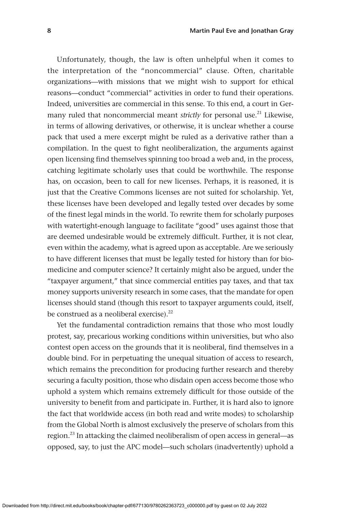Unfortunately, though, the law is often unhelpful when it comes to the interpretation of the "noncommercial" clause. Often, charitable organizations—with missions that we might wish to support for ethical reasons—conduct "commercial" activities in order to fund their operations. Indeed, universities are commercial in this sense. To this end, a court in Germany ruled that noncommercial meant *strictly* for personal use.<sup>21</sup> Likewise, in terms of allowing derivatives, or otherwise, it is unclear whether a course pack that used a mere excerpt might be ruled as a derivative rather than a compilation. In the quest to fight neoliberalization, the arguments against open licensing find themselves spinning too broad a web and, in the process, catching legitimate scholarly uses that could be worthwhile. The response has, on occasion, been to call for new licenses. Perhaps, it is reasoned, it is just that the Creative Commons licenses are not suited for scholarship. Yet, these licenses have been developed and legally tested over decades by some of the finest legal minds in the world. To rewrite them for scholarly purposes with watertight-enough language to facilitate "good" uses against those that are deemed undesirable would be extremely difficult. Further, it is not clear, even within the academy, what is agreed upon as acceptable. Are we seriously to have different licenses that must be legally tested for history than for biomedicine and computer science? It certainly might also be argued, under the "taxpayer argument," that since commercial entities pay taxes, and that tax money supports university research in some cases, that the mandate for open licenses should stand (though this resort to taxpayer arguments could, itself, be construed as a neoliberal exercise). $22$ 

Yet the fundamental contradiction remains that those who most loudly protest, say, precarious working conditions within universities, but who also contest open access on the grounds that it is neoliberal, find themselves in a double bind. For in perpetuating the unequal situation of access to research, which remains the precondition for producing further research and thereby securing a faculty position, those who disdain open access become those who uphold a system which remains extremely difficult for those outside of the university to benefit from and participate in. Further, it is hard also to ignore the fact that worldwide access (in both read and write modes) to scholarship from the Global North is almost exclusively the preserve of scholars from this region.<sup>23</sup> In attacking the claimed neoliberalism of open access in general—as opposed, say, to just the APC model—such scholars (inadvertently) uphold a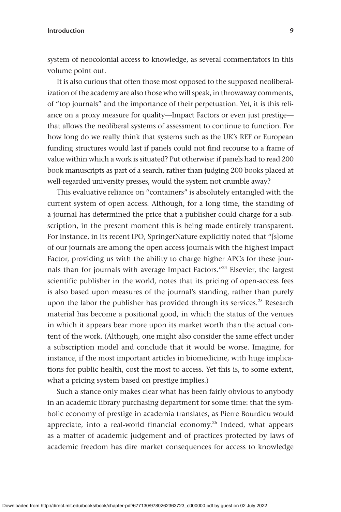system of neocolonial access to knowledge, as several commentators in this volume point out.

It is also curious that often those most opposed to the supposed neoliberalization of the academy are also those who will speak, in throwaway comments, of "top journals" and the importance of their perpetuation. Yet, it is this reliance on a proxy measure for quality—Impact Factors or even just prestige that allows the neoliberal systems of assessment to continue to function. For how long do we really think that systems such as the UK's REF or European funding structures would last if panels could not find recourse to a frame of value within which a work is situated? Put otherwise: if panels had to read 200 book manuscripts as part of a search, rather than judging 200 books placed at well-regarded university presses, would the system not crumble away?

This evaluative reliance on "containers" is absolutely entangled with the current system of open access. Although, for a long time, the standing of a journal has determined the price that a publisher could charge for a subscription, in the present moment this is being made entirely transparent. For instance, in its recent IPO, SpringerNature explicitly noted that "[s]ome of our journals are among the open access journals with the highest Impact Factor, providing us with the ability to charge higher APCs for these journals than for journals with average Impact Factors."<sup>24</sup> Elsevier, the largest scientific publisher in the world, notes that its pricing of open-access fees is also based upon measures of the journal's standing, rather than purely upon the labor the publisher has provided through its services.<sup>25</sup> Research material has become a positional good, in which the status of the venues in which it appears bear more upon its market worth than the actual content of the work. (Although, one might also consider the same effect under a subscription model and conclude that it would be worse. Imagine, for instance, if the most important articles in biomedicine, with huge implications for public health, cost the most to access. Yet this is, to some extent, what a pricing system based on prestige implies.)

Such a stance only makes clear what has been fairly obvious to anybody in an academic library purchasing department for some time: that the symbolic economy of prestige in academia translates, as Pierre Bourdieu would appreciate, into a real-world financial economy.<sup>26</sup> Indeed, what appears as a matter of academic judgement and of practices protected by laws of academic freedom has dire market consequences for access to knowledge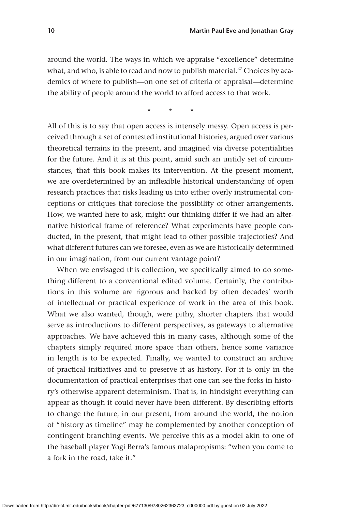around the world. The ways in which we appraise "excellence" determine what, and who, is able to read and now to publish material.<sup>27</sup> Choices by academics of where to publish—on one set of criteria of appraisal—determine the ability of people around the world to afford access to that work.

\*\*\*

All of this is to say that open access is intensely messy. Open access is perceived through a set of contested institutional histories, argued over various theoretical terrains in the present, and imagined via diverse potentialities for the future. And it is at this point, amid such an untidy set of circumstances, that this book makes its intervention. At the present moment, we are overdetermined by an inflexible historical understanding of open research practices that risks leading us into either overly instrumental conceptions or critiques that foreclose the possibility of other arrangements. How, we wanted here to ask, might our thinking differ if we had an alternative historical frame of reference? What experiments have people conducted, in the present, that might lead to other possible trajectories? And what different futures can we foresee, even as we are historically determined in our imagination, from our current vantage point?

When we envisaged this collection, we specifically aimed to do something different to a conventional edited volume. Certainly, the contributions in this volume are rigorous and backed by often decades' worth of intellectual or practical experience of work in the area of this book. What we also wanted, though, were pithy, shorter chapters that would serve as introductions to different perspectives, as gateways to alternative approaches. We have achieved this in many cases, although some of the chapters simply required more space than others, hence some variance in length is to be expected. Finally, we wanted to construct an archive of practical initiatives and to preserve it as history. For it is only in the documentation of practical enterprises that one can see the forks in history's otherwise apparent determinism. That is, in hindsight everything can appear as though it could never have been different. By describing efforts to change the future, in our present, from around the world, the notion of "history as timeline" may be complemented by another conception of contingent branching events. We perceive this as a model akin to one of the baseball player Yogi Berra's famous malapropisms: "when you come to a fork in the road, take it."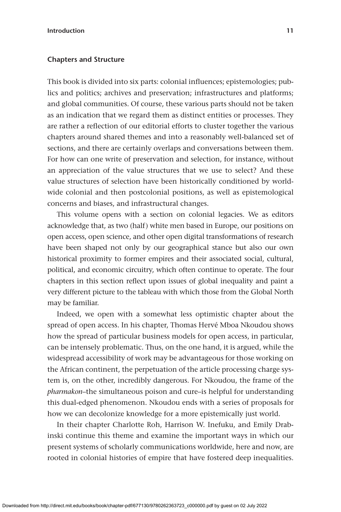#### **Chapters and Structure**

This book is divided into six parts: colonial influences; epistemologies; publics and politics; archives and preservation; infrastructures and platforms; and global communities. Of course, these various parts should not be taken as an indication that we regard them as distinct entities or processes. They are rather a reflection of our editorial efforts to cluster together the various chapters around shared themes and into a reasonably well-balanced set of sections, and there are certainly overlaps and conversations between them. For how can one write of preservation and selection, for instance, without an appreciation of the value structures that we use to select? And these value structures of selection have been historically conditioned by worldwide colonial and then postcolonial positions, as well as epistemological concerns and biases, and infrastructural changes.

This volume opens with a section on colonial legacies. We as editors acknowledge that, as two (half) white men based in Europe, our positions on open access, open science, and other open digital transformations of research have been shaped not only by our geographical stance but also our own historical proximity to former empires and their associated social, cultural, political, and economic circuitry, which often continue to operate. The four chapters in this section reflect upon issues of global inequality and paint a very different picture to the tableau with which those from the Global North may be familiar.

Indeed, we open with a somewhat less optimistic chapter about the spread of open access. In his chapter, Thomas Hervé Mboa Nkoudou shows how the spread of particular business models for open access, in particular, can be intensely problematic. Thus, on the one hand, it is argued, while the widespread accessibility of work may be advantageous for those working on the African continent, the perpetuation of the article processing charge system is, on the other, incredibly dangerous. For Nkoudou, the frame of the *pharmakon*–the simultaneous poison and cure–is helpful for understanding this dual-edged phenomenon. Nkoudou ends with a series of proposals for how we can decolonize knowledge for a more epistemically just world.

In their chapter Charlotte Roh, Harrison W. Inefuku, and Emily Drabinski continue this theme and examine the important ways in which our present systems of scholarly communications worldwide, here and now, are rooted in colonial histories of empire that have fostered deep inequalities.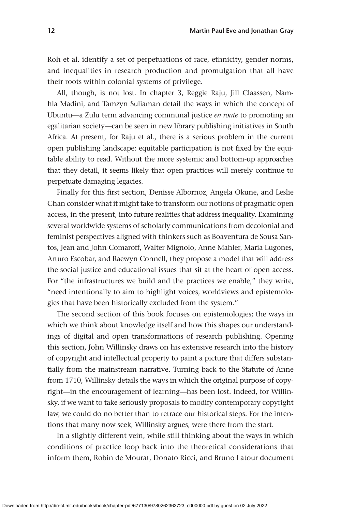Roh et al. identify a set of perpetuations of race, ethnicity, gender norms, and inequalities in research production and promulgation that all have their roots within colonial systems of privilege.

All, though, is not lost. In chapter 3, Reggie Raju, Jill Claassen, Namhla Madini, and Tamzyn Suliaman detail the ways in which the concept of Ubuntu—a Zulu term advancing communal justice *en route* to promoting an egalitarian society—can be seen in new library publishing initiatives in South Africa. At present, for Raju et al., there is a serious problem in the current open publishing landscape: equitable participation is not fixed by the equitable ability to read. Without the more systemic and bottom-up approaches that they detail, it seems likely that open practices will merely continue to perpetuate damaging legacies.

Finally for this first section, Denisse Albornoz, Angela Okune, and Leslie Chan consider what it might take to transform our notions of pragmatic open access, in the present, into future realities that address inequality. Examining several worldwide systems of scholarly communications from decolonial and feminist perspectives aligned with thinkers such as Boaventura de Sousa Santos, Jean and John Comaroff, Walter Mignolo, Anne Mahler, Maria Lugones, Arturo Escobar, and Raewyn Connell, they propose a model that will address the social justice and educational issues that sit at the heart of open access. For "the infrastructures we build and the practices we enable," they write, "need intentionally to aim to highlight voices, worldviews and epistemologies that have been historically excluded from the system."

The second section of this book focuses on epistemologies; the ways in which we think about knowledge itself and how this shapes our understandings of digital and open transformations of research publishing. Opening this section, John Willinsky draws on his extensive research into the history of copyright and intellectual property to paint a picture that differs substantially from the mainstream narrative. Turning back to the Statute of Anne from 1710, Willinsky details the ways in which the original purpose of copyright—in the encouragement of learning—has been lost. Indeed, for Willinsky, if we want to take seriously proposals to modify contemporary copyright law, we could do no better than to retrace our historical steps. For the intentions that many now seek, Willinsky argues, were there from the start.

In a slightly different vein, while still thinking about the ways in which conditions of practice loop back into the theoretical considerations that inform them, Robin de Mourat, Donato Ricci, and Bruno Latour document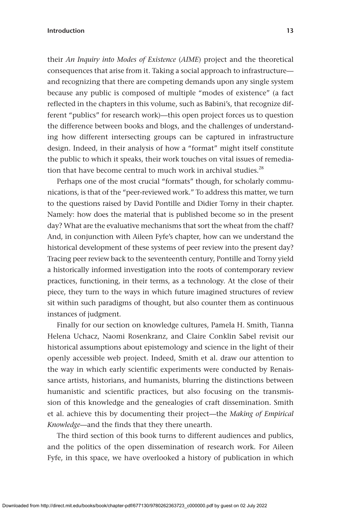their *An Inquiry into Modes of Existence* (*AIME*) project and the theoretical consequences that arise from it. Taking a social approach to infrastructure and recognizing that there are competing demands upon any single system because any public is composed of multiple "modes of existence" (a fact reflected in the chapters in this volume, such as Babini's, that recognize different "publics" for research work)—this open project forces us to question the difference between books and blogs, and the challenges of understanding how different intersecting groups can be captured in infrastructure design. Indeed, in their analysis of how a "format" might itself constitute the public to which it speaks, their work touches on vital issues of remediation that have become central to much work in archival studies. $^{28}$ 

Perhaps one of the most crucial "formats" though, for scholarly communications, is that of the "peer-reviewed work." To address this matter, we turn to the questions raised by David Pontille and Didier Torny in their chapter. Namely: how does the material that is published become so in the present day? What are the evaluative mechanisms that sort the wheat from the chaff? And, in conjunction with Aileen Fyfe's chapter, how can we understand the historical development of these systems of peer review into the present day? Tracing peer review back to the seventeenth century, Pontille and Torny yield a historically informed investigation into the roots of contemporary review practices, functioning, in their terms, as a technology. At the close of their piece, they turn to the ways in which future imagined structures of review sit within such paradigms of thought, but also counter them as continuous instances of judgment.

Finally for our section on knowledge cultures, Pamela H. Smith, Tianna Helena Uchacz, Naomi Rosenkranz, and Claire Conklin Sabel revisit our historical assumptions about epistemology and science in the light of their openly accessible web project. Indeed, Smith et al. draw our attention to the way in which early scientific experiments were conducted by Renaissance artists, historians, and humanists, blurring the distinctions between humanistic and scientific practices, but also focusing on the transmission of this knowledge and the genealogies of craft dissemination. Smith et al. achieve this by documenting their project—the *Making of Empirical Knowledge*—and the finds that they there unearth.

The third section of this book turns to different audiences and publics, and the politics of the open dissemination of research work. For Aileen Fyfe, in this space, we have overlooked a history of publication in which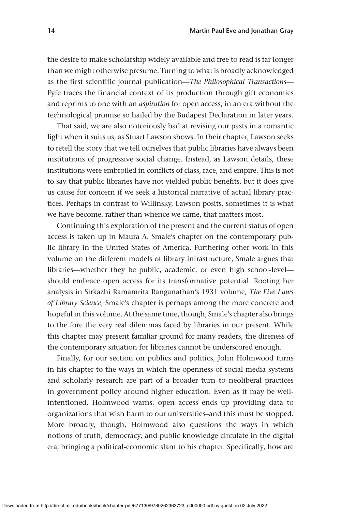the desire to make scholarship widely available and free to read is far longer than we might otherwise presume. Turning to what is broadly acknowledged as the first scientific journal publication—*The Philosophical Transactions*— Fyfe traces the financial context of its production through gift economies and reprints to one with an *aspiration* for open access, in an era without the technological promise so hailed by the Budapest Declaration in later years.

That said, we are also notoriously bad at revising our pasts in a romantic light when it suits us, as Stuart Lawson shows. In their chapter, Lawson seeks to retell the story that we tell ourselves that public libraries have always been institutions of progressive social change. Instead, as Lawson details, these institutions were embroiled in conflicts of class, race, and empire. This is not to say that public libraries have not yielded public benefits, but it does give us cause for concern if we seek a historical narrative of actual library practices. Perhaps in contrast to Willinsky, Lawson posits, sometimes it is what we have become, rather than whence we came, that matters most.

Continuing this exploration of the present and the current status of open access is taken up in Maura A. Smale's chapter on the contemporary public library in the United States of America. Furthering other work in this volume on the different models of library infrastructure, Smale argues that libraries—whether they be public, academic, or even high school-level should embrace open access for its transformative potential. Rooting her analysis in Sirkazhi Ramamrita Ranganathan's 1931 volume, *The Five Laws of Library Science*, Smale's chapter is perhaps among the more concrete and hopeful in this volume. At the same time, though, Smale's chapter also brings to the fore the very real dilemmas faced by libraries in our present. While this chapter may present familiar ground for many readers, the direness of the contemporary situation for libraries cannot be underscored enough.

Finally, for our section on publics and politics, John Holmwood turns in his chapter to the ways in which the openness of social media systems and scholarly research are part of a broader turn to neoliberal practices in government policy around higher education. Even as it may be wellintentioned, Holmwood warns, open access ends up providing data to organizations that wish harm to our universities–and this must be stopped. More broadly, though, Holmwood also questions the ways in which notions of truth, democracy, and public knowledge circulate in the digital era, bringing a political-economic slant to his chapter. Specifically, how are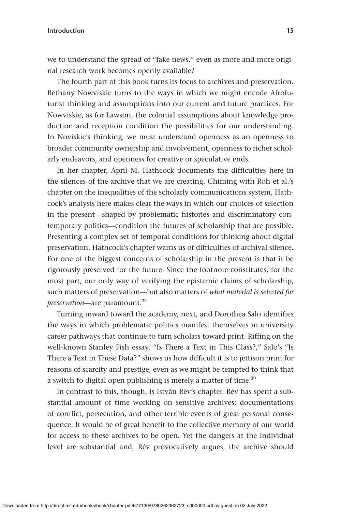we to understand the spread of "fake news," even as more and more original research work becomes openly available?

The fourth part of this book turns its focus to archives and preservation. Bethany Nowviskie turns to the ways in which we might encode Afrofuturist thinking and assumptions into our current and future practices. For Nowviskie, as for Lawson, the colonial assumptions about knowledge production and reception condition the possibilities for our understanding. In Noviskie's thinking, we must understand openness as an openness to broader community ownership and involvement, openness to richer scholarly endeavors, and openness for creative or speculative ends.

In her chapter, April M. Hathcock documents the difficulties here in the silences of the archive that we are creating. Chiming with Roh et al.'s chapter on the inequalities of the scholarly communications system, Hathcock's analysis here makes clear the ways in which our choices of selection in the present—shaped by problematic histories and discriminatory contemporary politics—condition the futures of scholarship that are possible. Presenting a complex set of temporal conditions for thinking about digital preservation, Hathcock's chapter warns us of difficulties of archival silence. For one of the biggest concerns of scholarship in the present is that it be rigorously preserved for the future. Since the footnote constitutes, for the most part, our only way of verifying the epistemic claims of scholarship, such matters of preservation—but also matters of *what material is selected for preservation*—are paramount.<sup>29</sup>

Turning inward toward the academy, next, and Dorothea Salo identifies the ways in which problematic politics manifest themselves in university career pathways that continue to turn scholars toward print. Riffing on the well-known Stanley Fish essay, "Is There a Text in This Class?," Salo's "Is There a Text in These Data?" shows us how difficult it is to jettison print for reasons of scarcity and prestige, even as we might be tempted to think that a switch to digital open publishing is merely a matter of time.<sup>30</sup>

In contrast to this, though, is István Rév's chapter. Rév has spent a substantial amount of time working on sensitive archives; documentations of conflict, persecution, and other terrible events of great personal consequence. It would be of great benefit to the collective memory of our world for access to these archives to be open. Yet the dangers at the individual level are substantial and, Rév provocatively argues, the archive should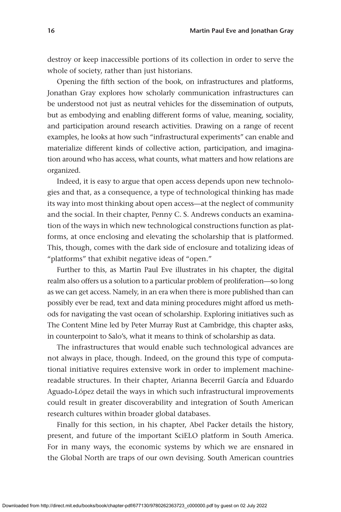destroy or keep inaccessible portions of its collection in order to serve the whole of society, rather than just historians.

Opening the fifth section of the book, on infrastructures and platforms, Jonathan Gray explores how scholarly communication infrastructures can be understood not just as neutral vehicles for the dissemination of outputs, but as embodying and enabling different forms of value, meaning, sociality, and participation around research activities. Drawing on a range of recent examples, he looks at how such "infrastructural experiments" can enable and materialize different kinds of collective action, participation, and imagination around who has access, what counts, what matters and how relations are organized.

Indeed, it is easy to argue that open access depends upon new technologies and that, as a consequence, a type of technological thinking has made its way into most thinking about open access—at the neglect of community and the social. In their chapter, Penny C. S. Andrews conducts an examination of the ways in which new technological constructions function as platforms, at once enclosing and elevating the scholarship that is platformed. This, though, comes with the dark side of enclosure and totalizing ideas of "platforms" that exhibit negative ideas of "open."

Further to this, as Martin Paul Eve illustrates in his chapter, the digital realm also offers us a solution to a particular problem of proliferation—so long as we can get access. Namely, in an era when there is more published than can possibly ever be read, text and data mining procedures might afford us methods for navigating the vast ocean of scholarship. Exploring initiatives such as The Content Mine led by Peter Murray Rust at Cambridge, this chapter asks, in counterpoint to Salo's, what it means to think of scholarship as data.

The infrastructures that would enable such technological advances are not always in place, though. Indeed, on the ground this type of computational initiative requires extensive work in order to implement machinereadable structures. In their chapter, Arianna Becerril García and Eduardo Aguado-López detail the ways in which such infrastructural improvements could result in greater discoverability and integration of South American research cultures within broader global databases.

Finally for this section, in his chapter, Abel Packer details the history, present, and future of the important SciELO platform in South America. For in many ways, the economic systems by which we are ensnared in the Global North are traps of our own devising. South American countries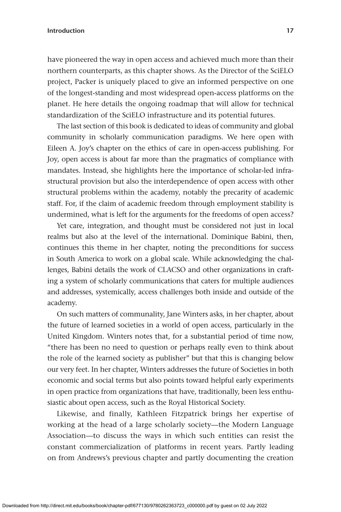have pioneered the way in open access and achieved much more than their northern counterparts, as this chapter shows. As the Director of the SciELO project, Packer is uniquely placed to give an informed perspective on one of the longest-standing and most widespread open-access platforms on the planet. He here details the ongoing roadmap that will allow for technical standardization of the SciELO infrastructure and its potential futures.

The last section of this book is dedicated to ideas of community and global community in scholarly communication paradigms. We here open with Eileen A. Joy's chapter on the ethics of care in open-access publishing. For Joy, open access is about far more than the pragmatics of compliance with mandates. Instead, she highlights here the importance of scholar-led infrastructural provision but also the interdependence of open access with other structural problems within the academy, notably the precarity of academic staff. For, if the claim of academic freedom through employment stability is undermined, what is left for the arguments for the freedoms of open access?

Yet care, integration, and thought must be considered not just in local realms but also at the level of the international. Dominique Babini, then, continues this theme in her chapter, noting the preconditions for success in South America to work on a global scale. While acknowledging the challenges, Babini details the work of CLACSO and other organizations in crafting a system of scholarly communications that caters for multiple audiences and addresses, systemically, access challenges both inside and outside of the academy.

On such matters of communality, Jane Winters asks, in her chapter, about the future of learned societies in a world of open access, particularly in the United Kingdom. Winters notes that, for a substantial period of time now, "there has been no need to question or perhaps really even to think about the role of the learned society as publisher" but that this is changing below our very feet. In her chapter, Winters addresses the future of Societies in both economic and social terms but also points toward helpful early experiments in open practice from organizations that have, traditionally, been less enthusiastic about open access, such as the Royal Historical Society.

Likewise, and finally, Kathleen Fitzpatrick brings her expertise of working at the head of a large scholarly society—the Modern Language Association—to discuss the ways in which such entities can resist the constant commercialization of platforms in recent years. Partly leading on from Andrews's previous chapter and partly documenting the creation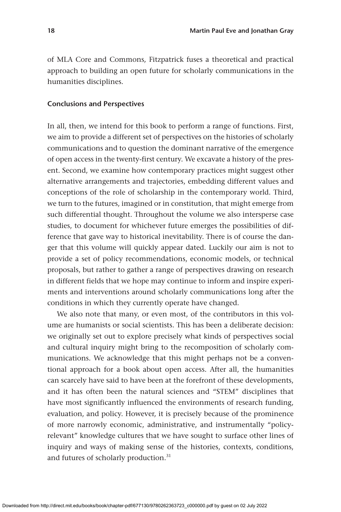of MLA Core and Commons, Fitzpatrick fuses a theoretical and practical approach to building an open future for scholarly communications in the humanities disciplines.

#### **Conclusions and Perspectives**

In all, then, we intend for this book to perform a range of functions. First, we aim to provide a different set of perspectives on the histories of scholarly communications and to question the dominant narrative of the emergence of open access in the twenty-first century. We excavate a history of the present. Second, we examine how contemporary practices might suggest other alternative arrangements and trajectories, embedding different values and conceptions of the role of scholarship in the contemporary world. Third, we turn to the futures, imagined or in constitution, that might emerge from such differential thought. Throughout the volume we also intersperse case studies, to document for whichever future emerges the possibilities of difference that gave way to historical inevitability. There is of course the danger that this volume will quickly appear dated. Luckily our aim is not to provide a set of policy recommendations, economic models, or technical proposals, but rather to gather a range of perspectives drawing on research in different fields that we hope may continue to inform and inspire experiments and interventions around scholarly communications long after the conditions in which they currently operate have changed.

We also note that many, or even most, of the contributors in this volume are humanists or social scientists. This has been a deliberate decision: we originally set out to explore precisely what kinds of perspectives social and cultural inquiry might bring to the recomposition of scholarly communications. We acknowledge that this might perhaps not be a conventional approach for a book about open access. After all, the humanities can scarcely have said to have been at the forefront of these developments, and it has often been the natural sciences and "STEM" disciplines that have most significantly influenced the environments of research funding, evaluation, and policy. However, it is precisely because of the prominence of more narrowly economic, administrative, and instrumentally "policyrelevant" knowledge cultures that we have sought to surface other lines of inquiry and ways of making sense of the histories, contexts, conditions, and futures of scholarly production.<sup>31</sup>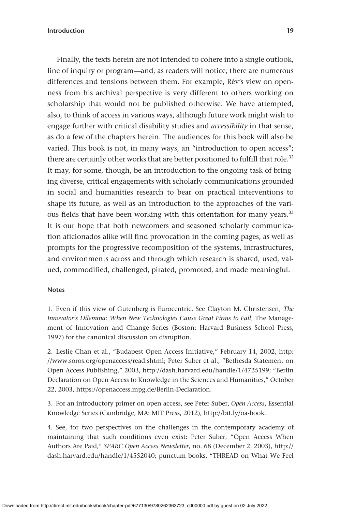Finally, the texts herein are not intended to cohere into a single outlook, line of inquiry or program—and, as readers will notice, there are numerous differences and tensions between them. For example, Rév's view on openness from his archival perspective is very different to others working on scholarship that would not be published otherwise. We have attempted, also, to think of access in various ways, although future work might wish to engage further with critical disability studies and *accessibility* in that sense, as do a few of the chapters herein. The audiences for this book will also be varied. This book is not, in many ways, an "introduction to open access"; there are certainly other works that are better positioned to fulfill that role.<sup>32</sup> It may, for some, though, be an introduction to the ongoing task of bringing diverse, critical engagements with scholarly communications grounded in social and humanities research to bear on practical interventions to shape its future, as well as an introduction to the approaches of the various fields that have been working with this orientation for many years.<sup>33</sup> It is our hope that both newcomers and seasoned scholarly communication aficionados alike will find provocation in the coming pages, as well as prompts for the progressive recomposition of the systems, infrastructures, and environments across and through which research is shared, used, valued, commodified, challenged, pirated, promoted, and made meaningful.

#### **Notes**

1. Even if this view of Gutenberg is Eurocentric. See Clayton M. Christensen, *The Innovator's Dilemma: When New Technologies Cause Great Firms to Fail*, The Management of Innovation and Change Series (Boston: Harvard Business School Press, 1997) for the canonical discussion on disruption.

2. Leslie Chan et al., "Budapest Open Access Initiative," February 14, 2002, [http:](http://www.soros.org/openaccess/read.shtml) [//www.soros.org/openaccess/read.shtml;](http://www.soros.org/openaccess/read.shtml) Peter Suber et al., "Bethesda Statement on Open Access Publishing," 2003, <http://dash.harvard.edu/handle/1/4725199>; "Berlin Declaration on Open Access to Knowledge in the Sciences and Humanities," October 22, 2003, <https://openaccess.mpg.de/Berlin-Declaration>.

3. For an introductory primer on open access, see Peter Suber, *Open Access*, Essential Knowledge Series (Cambridge, MA: MIT Press, 2012), [http://bit.ly/oa-book.](http://bit.ly/oa-book)

4. See, for two perspectives on the challenges in the contemporary academy of maintaining that such conditions even exist: Peter Suber, "Open Access When Authors Are Paid," *SPARC Open Access Newsletter*, no. 68 (December 2, 2003), [http://](http://dash.harvard.edu/handle/1/4552040) [dash.harvard.edu/handle/1/4552040;](http://dash.harvard.edu/handle/1/4552040) punctum books, "THREAD on What We Feel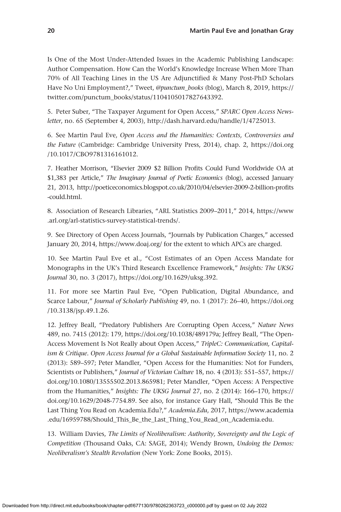Is One of the Most Under-Attended Issues in the Academic Publishing Landscape: Author Compensation. How Can the World's Knowledge Increase When More Than 70% of All Teaching Lines in the US Are Adjunctified & Many Post-PhD Scholars Have No Uni Employment?," Tweet, *@punctum\_books* (blog), March 8, 2019, [https://](https://twitter.com/punctum_books/status/1104105017827643392) [twitter.com/punctum\\_books/status/1104105017827643392.](https://twitter.com/punctum_books/status/1104105017827643392)

5. Peter Suber, "The Taxpayer Argument for Open Access," *SPARC Open Access Newsletter*, no. 65 (September 4, 2003), [http://dash.harvard.edu/handle/1/4725013.](http://dash.harvard.edu/handle/1/4725013)

6. See Martin Paul Eve, *Open Access and the Humanities: Contexts, Controversies and the Future* (Cambridge: Cambridge University Press, 2014), chap. 2, [https://doi.org](https://doi.org/10.1017/CBO9781316161012) [/10.1017/CBO9781316161012.](https://doi.org/10.1017/CBO9781316161012)

7. Heather Morrison, "Elsevier 2009 \$2 Billion Profits Could Fund Worldwide OA at \$1,383 per Article," *The Imaginary Journal of Poetic Economics* (blog), accessed January 21, 2013, [http://poeticeconomics.blogspot.co.uk/2010/04/elsevier-2009-2-billion-profits](http://poeticeconomics.blogspot.co.uk/2010/04/elsevier-2009-2-billion-profits-could.html) [-could.html.](http://poeticeconomics.blogspot.co.uk/2010/04/elsevier-2009-2-billion-profits-could.html)

8. Association of Research Libraries, "ARL Statistics 2009–2011," 2014, [https://www](https://www.arl.org/arl-statistics-survey-statistical-trends/) [.arl.org/arl-statistics-survey-statistical-trends/.](https://www.arl.org/arl-statistics-survey-statistical-trends/)

9. See Directory of Open Access Journals, "Journals by Publication Charges," accessed January 20, 2014,<https://www.doaj.org/> for the extent to which APCs are charged.

10. See Martin Paul Eve et al., "Cost Estimates of an Open Access Mandate for Monographs in the UK's Third Research Excellence Framework," *Insights: The UKSG Journal* 30, no. 3 (2017), [https://doi.org/10.1629/uksg.392.](https://doi.org/10.1629/uksg.392)

11. For more see Martin Paul Eve, "Open Publication, Digital Abundance, and Scarce Labour," *Journal of Scholarly Publishing* 49, no. 1 (2017): 26–40, [https://doi.org](https://doi.org/10.3138/jsp.49.1.26) [/10.3138/jsp.49.1.26](https://doi.org/10.3138/jsp.49.1.26).

12. Jeffrey Beall, "Predatory Publishers Are Corrupting Open Access," *Nature News* 489, no. 7415 (2012): 179, [https://doi.org/10.1038/489179a;](https://doi.org/10.1038/489179a) Jeffrey Beall, "The Open-Access Movement Is Not Really about Open Access," *TripleC: Communication, Capitalism & Critique. Open Access Journal for a Global Sustainable Information Society* 11, no. 2 (2013): 589–597; Peter Mandler, "Open Access for the Humanities: Not for Funders, Scientists or Publishers," *Journal of Victorian Culture* 18, no. 4 (2013): 551–557, [https://](https://doi.org/10.1080/13555502.2013.865981) [doi.org/10.1080/13555502.2013.865981;](https://doi.org/10.1080/13555502.2013.865981) Peter Mandler, "Open Access: A Perspective from the Humanities," *Insights: The UKSG Journal* 27, no. 2 (2014): 166–170, [https://](https://doi.org/10.1629/2048-7754.89) [doi.org/10.1629/2048-7754.89](https://doi.org/10.1629/2048-7754.89). See also, for instance Gary Hall, "Should This Be the Last Thing You Read on Academia.Edu?," *Academia.Edu*, 2017, [https://www.academia](https://www.academia.edu/16959788/Should_This_Be_the_Last_Thing_You_Read_on_Academia.edu) [.edu/16959788/Should\\_This\\_Be\\_the\\_Last\\_Thing\\_You\\_Read\\_on\\_Academia.edu.](https://www.academia.edu/16959788/Should_This_Be_the_Last_Thing_You_Read_on_Academia.edu)

13. William Davies, *The Limits of Neoliberalism: Authority, Sovereignty and the Logic of Competition* (Thousand Oaks, CA: SAGE, 2014); Wendy Brown, *Undoing the Demos: Neoliberalism's Stealth Revolution* (New York: Zone Books, 2015).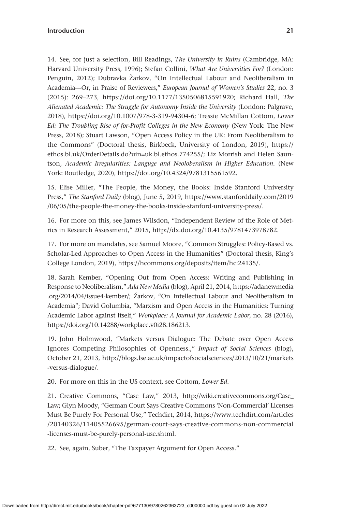14. See, for just a selection, Bill Readings, *The University in Ruins* (Cambridge, MA: Harvard University Press, 1996); Stefan Collini, *What Are Universities For?* (London: Penguin, 2012); Dubravka Žarkov, "On Intellectual Labour and Neoliberalism in Academia—Or, in Praise of Reviewers," *European Journal of Women's Studies* 22, no. 3 (2015): 269–273, <https://doi.org/10.1177/1350506815591920>; Richard Hall, *The Alienated Academic: The Struggle for Autonomy Inside the University* (London: Palgrave, 2018), <https://doi.org/10.1007/978-3-319-94304-6>; Tressie McMillan Cottom, *Lower Ed: The Troubling Rise of for-Profit Colleges in the New Economy* (New York: The New Press, 2018); Stuart Lawson, "Open Access Policy in the UK: From Neoliberalism to the Commons" (Doctoral thesis, Birkbeck, University of London, 2019), [https://](https://ethos.bl.uk/OrderDetails.do?uin=uk.bl.ethos.774255/) [ethos.bl.uk/OrderDetails.do?uin=uk.bl.ethos.774255/](https://ethos.bl.uk/OrderDetails.do?uin=uk.bl.ethos.774255/); Liz Morrish and Helen Sauntson, *Academic Irregularities: Languge and Neoloberalism in Higher Education.* (New York: Routledge, 2020), [https://doi.org/10.4324/9781315561592.](https://doi.org/10.4324/9781315561592)

15. Elise Miller, "The People, the Money, the Books: Inside Stanford University Press," *The Stanford Daily* (blog), June 5, 2019, [https://www.stanforddaily.com/2019](https://www.stanforddaily.com/2019/06/05/the-people-the-money-the-books-inside-stanford-university-press/) [/06/05/the-people-the-money-the-books-inside-stanford-university-press/.](https://www.stanforddaily.com/2019/06/05/the-people-the-money-the-books-inside-stanford-university-press/)

16. For more on this, see James Wilsdon, "Independent Review of the Role of Metrics in Research Assessment," 2015, [http://dx.doi.org/10.4135/9781473978782.](http://dx.doi.org/10.4135/9781473978782)

17. For more on mandates, see Samuel Moore, "Common Struggles: Policy-Based vs. Scholar-Led Approaches to Open Access in the Humanities" (Doctoral thesis, King's College London, 2019), [https://hcommons.org/deposits/item/hc:24135/.](https://hcommons.org/deposits/item/hc:24135/)

18. Sarah Kember, "Opening Out from Open Access: Writing and Publishing in Response to Neoliberalism," *Ada New Media* (blog), April 21, 2014, [https://adanewmedia](https://adanewmedia.org/2014/04/issue4-kember/) [.org/2014/04/issue4-kember/;](https://adanewmedia.org/2014/04/issue4-kember/) Žarkov, "On Intellectual Labour and Neoliberalism in Academia"; David Golumbia, "Marxism and Open Access in the Humanities: Turning Academic Labor against Itself," *Workplace: A Journal for Academic Labor*, no. 28 (2016), <https://doi.org/10.14288/workplace.v0i28.186213>.

19. John Holmwood, "Markets versus Dialogue: The Debate over Open Access Ignores Competing Philosophies of Openness.," *Impact of Social Sciences* (blog), October 21, 2013, [http://blogs.lse.ac.uk/impactofsocialsciences/2013/10/21/markets](http://blogs.lse.ac.uk/impactofsocialsciences/2013/10/21/markets-versus-dialogue/) [-versus-dialogue/.](http://blogs.lse.ac.uk/impactofsocialsciences/2013/10/21/markets-versus-dialogue/)

20. For more on this in the US context, see Cottom, *Lower Ed*.

21. Creative Commons, "Case Law," 2013, [http://wiki.creativecommons.org/Case\\_](http://wiki.creativecommons.org/Case_Law) [Law](http://wiki.creativecommons.org/Case_Law); Glyn Moody, "German Court Says Creative Commons 'Non-Commercial' Licenses Must Be Purely For Personal Use," Techdirt, 2014, [https://www.techdirt.com/articles](https://www.techdirt.com/articles/20140326/11405526695/german-court-says-creative-commons-non-commercial-licenses-must-be-purely-personal-use.shtml) [/20140326/11405526695/german-court-says-creative-commons-non-commercial](https://www.techdirt.com/articles/20140326/11405526695/german-court-says-creative-commons-non-commercial-licenses-must-be-purely-personal-use.shtml) [-licenses-must-be-purely-personal-use.shtml.](https://www.techdirt.com/articles/20140326/11405526695/german-court-says-creative-commons-non-commercial-licenses-must-be-purely-personal-use.shtml)

22. See, again, Suber, "The Taxpayer Argument for Open Access."